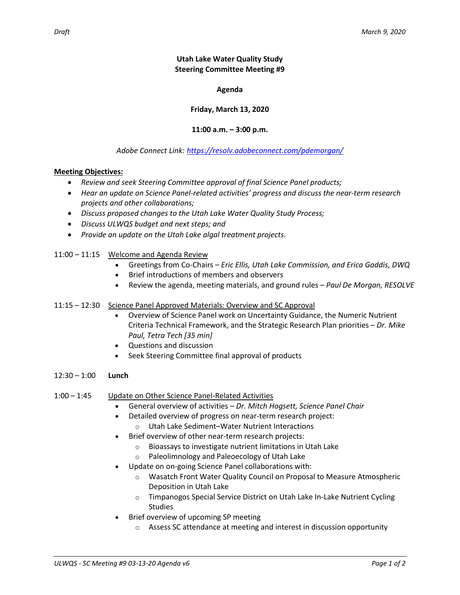**Agenda**

**Friday, March 13, 2020**

**11:00 a.m. – 3:00 p.m.**

# *Adobe Connect Link: <https://resolv.adobeconnect.com/pdemorgan/>*

#### **Meeting Objectives:**

- *Review and seek Steering Committee approval of final Science Panel products;*
- *Hear an update on Science Panel-related activities' progress and discuss the near-term research projects and other collaborations;*
- *Discuss proposed changes to the Utah Lake Water Quality Study Process;*
- *Discuss ULWQS budget and next steps; and*
- *Provide an update on the Utah Lake algal treatment projects.*
- 11:00 11:15 Welcome and Agenda Review
	- Greetings from Co-Chairs *Eric Ellis, Utah Lake Commission, and Erica Gaddis, DWQ*
	- Brief introductions of members and observers
	- Review the agenda, meeting materials, and ground rules *Paul De Morgan, RESOLVE*

#### 11:15 – 12:30 Science Panel Approved Materials: Overview and SC Approval

- Overview of Science Panel work on Uncertainty Guidance, the Numeric Nutrient Criteria Technical Framework, and the Strategic Research Plan priorities – *Dr. Mike Paul, Tetra Tech [35 min]*
- Questions and discussion
- Seek Steering Committee final approval of products
- 12:30 1:00 **Lunch**
- 1:00 1:45 Update on Other Science Panel-Related Activities
	- General overview of activities *Dr. Mitch Hogsett, Science Panel Chair*
	- Detailed overview of progress on near-term research project:
		- o Utah Lake Sediment–Water Nutrient Interactions
	- Brief overview of other near-term research projects:
		- o Bioassays to investigate nutrient limitations in Utah Lake
		- o Paleolimnology and Paleoecology of Utah Lake
	- Update on on-going Science Panel collaborations with:
		- o Wasatch Front Water Quality Council on Proposal to Measure Atmospheric Deposition in Utah Lake
		- o Timpanogos Special Service District on Utah Lake In-Lake Nutrient Cycling **Studies**
	- Brief overview of upcoming SP meeting
		- $\circ$  Assess SC attendance at meeting and interest in discussion opportunity